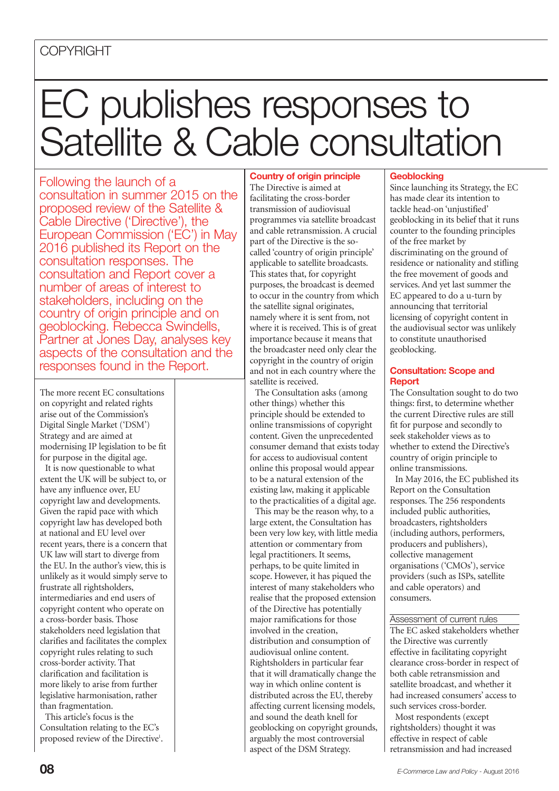# **COPYRIGHT**

# EC publishes responses to Satellite & Cable consultation

Following the launch of a consultation in summer 2015 on the proposed review of the Satellite & Cable Directive ('Directive'), the European Commission ('EC') in May 2016 published its Report on the consultation responses. The consultation and Report cover a number of areas of interest to stakeholders, including on the country of origin principle and on geoblocking. Rebecca Swindells, Partner at Jones Day, analyses key aspects of the consultation and the responses found in the Report.

The more recent EC consultations on copyright and related rights arise out of the Commission's Digital Single Market ('DSM') Strategy and are aimed at modernising IP legislation to be fit for purpose in the digital age.

It is now questionable to what extent the UK will be subject to, or have any influence over, EU copyright law and developments. Given the rapid pace with which copyright law has developed both at national and EU level over recent years, there is a concern that UK law will start to diverge from the EU. In the author's view, this is unlikely as it would simply serve to frustrate all rightsholders, intermediaries and end users of copyright content who operate on a cross-border basis. Those stakeholders need legislation that clarifies and facilitates the complex copyright rules relating to such cross-border activity. That clarification and facilitation is more likely to arise from further legislative harmonisation, rather than fragmentation.

This article's focus is the Consultation relating to the EC's proposed review of the Directive<sup>1</sup>.

**Country of origin principle** The Directive is aimed at facilitating the cross-border transmission of audiovisual programmes via satellite broadcast and cable retransmission. A crucial part of the Directive is the socalled 'country of origin principle' applicable to satellite broadcasts. This states that, for copyright purposes, the broadcast is deemed to occur in the country from which the satellite signal originates, namely where it is sent from, not where it is received. This is of great importance because it means that the broadcaster need only clear the copyright in the country of origin and not in each country where the satellite is received.

The Consultation asks (among other things) whether this principle should be extended to online transmissions of copyright content. Given the unprecedented consumer demand that exists today for access to audiovisual content online this proposal would appear to be a natural extension of the existing law, making it applicable to the practicalities of a digital age.

This may be the reason why, to a large extent, the Consultation has been very low key, with little media attention or commentary from legal practitioners. It seems, perhaps, to be quite limited in scope. However, it has piqued the interest of many stakeholders who realise that the proposed extension of the Directive has potentially major ramifications for those involved in the creation, distribution and consumption of audiovisual online content. Rightsholders in particular fear that it will dramatically change the way in which online content is distributed across the EU, thereby affecting current licensing models, and sound the death knell for geoblocking on copyright grounds, arguably the most controversial aspect of the DSM Strategy.

## **Geoblocking**

Since launching its Strategy, the EC has made clear its intention to tackle head-on 'unjustified' geoblocking in its belief that it runs counter to the founding principles of the free market by discriminating on the ground of residence or nationality and stifling the free movement of goods and services. And yet last summer the EC appeared to do a u-turn by announcing that territorial licensing of copyright content in the audiovisual sector was unlikely to constitute unauthorised geoblocking.

### **Consultation: Scope and Report**

The Consultation sought to do two things: first, to determine whether the current Directive rules are still fit for purpose and secondly to seek stakeholder views as to whether to extend the Directive's country of origin principle to online transmissions.

In May 2016, the EC published its Report on the Consultation responses. The 256 respondents included public authorities, broadcasters, rightsholders (including authors, performers, producers and publishers), collective management organisations ('CMOs'), service providers (such as ISPs, satellite and cable operators) and consumers.

#### Assessment of current rules

The EC asked stakeholders whether the Directive was currently effective in facilitating copyright clearance cross-border in respect of both cable retransmission and satellite broadcast, and whether it had increased consumers' access to such services cross-border. Most respondents (except

rightsholders) thought it was effective in respect of cable retransmission and had increased